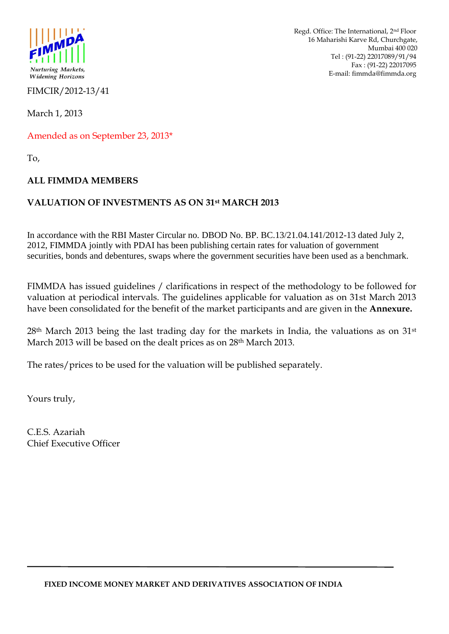

FIMCIR/2012-13/41

March 1, 2013

Amended as on September 23, 2013\*

To,

### **ALL FIMMDA MEMBERS**

### **VALUATION OF INVESTMENTS AS ON 31st MARCH 2013**

In accordance with the RBI Master Circular no. DBOD No. BP. BC.13/21.04.141/2012-13 dated July 2, 2012, FIMMDA jointly with PDAI has been publishing certain rates for valuation of government securities, bonds and debentures, swaps where the government securities have been used as a benchmark.

FIMMDA has issued guidelines / clarifications in respect of the methodology to be followed for valuation at periodical intervals. The guidelines applicable for valuation as on 31st March 2013 have been consolidated for the benefit of the market participants and are given in the **Annexure.**

28<sup>th</sup> March 2013 being the last trading day for the markets in India, the valuations as on 31<sup>st</sup> March 2013 will be based on the dealt prices as on 28th March 2013.

The rates/prices to be used for the valuation will be published separately.

Yours truly,

C.E.S. Azariah Chief Executive Officer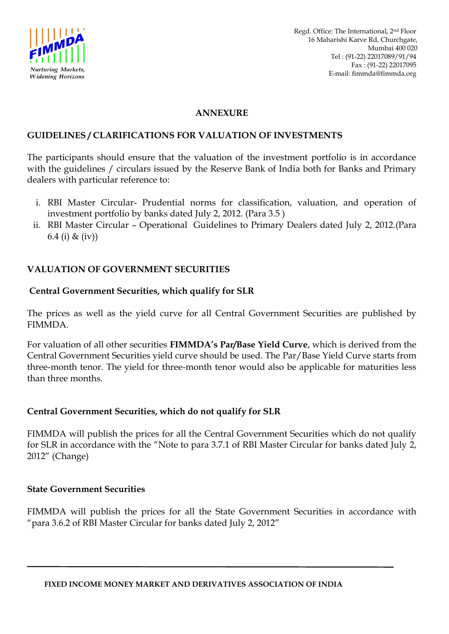

### **ANNEXURE**

### **GUIDELINES / CLARIFICATIONS FOR VALUATION OF INVESTMENTS**

The participants should ensure that the valuation of the investment portfolio is in accordance with the guidelines / circulars issued by the Reserve Bank of India both for Banks and Primary dealers with particular reference to:

- i. RBI Master Circular- Prudential norms for classification, valuation, and operation of investment portfolio by banks dated July 2, 2012. (Para 3.5 )
- ii. RBI Master Circular Operational Guidelines to Primary Dealers dated July 2, 2012.(Para 6.4 (i) & (iv))

### **VALUATION OF GOVERNMENT SECURITIES**

### **Central Government Securities, which qualify for SLR**

The prices as well as the yield curve for all Central Government Securities are published by FIMMDA.

For valuation of all other securities **FIMMDA's Par/Base Yield Curve**, which is derived from the Central Government Securities yield curve should be used. The Par/Base Yield Curve starts from three-month tenor. The yield for three-month tenor would also be applicable for maturities less than three months.

### **Central Government Securities, which do not qualify for SLR**

FIMMDA will publish the prices for all the Central Government Securities which do not qualify for SLR in accordance with the "Note to para 3.7.1 of RBI Master Circular for banks dated July 2, 2012" (Change)

### **State Government Securities**

FIMMDA will publish the prices for all the State Government Securities in accordance with "para 3.6.2 of RBI Master Circular for banks dated July 2, 2012"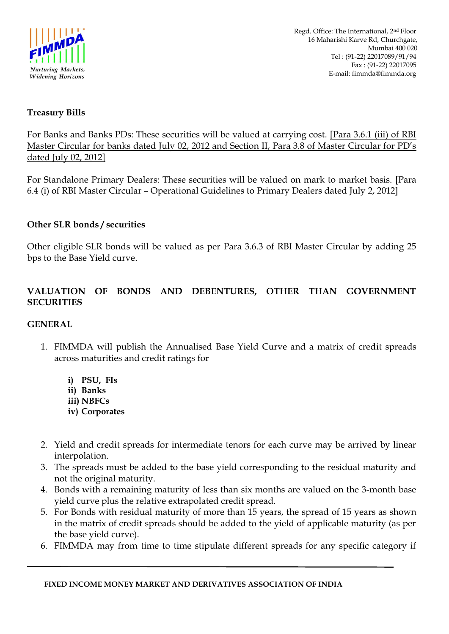

# **Treasury Bills**

For Banks and Banks PDs: These securities will be valued at carrying cost. [Para 3.6.1 (iii) of RBI Master Circular for banks dated July 02, 2012 and Section II, Para 3.8 of Master Circular for PD"s dated July 02, 2012]

For Standalone Primary Dealers: These securities will be valued on mark to market basis. [Para 6.4 (i) of RBI Master Circular – Operational Guidelines to Primary Dealers dated July 2, 2012]

## **Other SLR bonds / securities**

Other eligible SLR bonds will be valued as per Para 3.6.3 of RBI Master Circular by adding 25 bps to the Base Yield curve.

# **VALUATION OF BONDS AND DEBENTURES, OTHER THAN GOVERNMENT SECURITIES**

## **GENERAL**

- 1. FIMMDA will publish the Annualised Base Yield Curve and a matrix of credit spreads across maturities and credit ratings for
	- **i) PSU, FIs**
	- **ii) Banks**
	- **iii) NBFCs**
	- **iv) Corporates**
- 2. Yield and credit spreads for intermediate tenors for each curve may be arrived by linear interpolation.
- 3. The spreads must be added to the base yield corresponding to the residual maturity and not the original maturity.
- 4. Bonds with a remaining maturity of less than six months are valued on the 3-month base yield curve plus the relative extrapolated credit spread.
- 5. For Bonds with residual maturity of more than 15 years, the spread of 15 years as shown in the matrix of credit spreads should be added to the yield of applicable maturity (as per the base yield curve).
- 6. FIMMDA may from time to time stipulate different spreads for any specific category if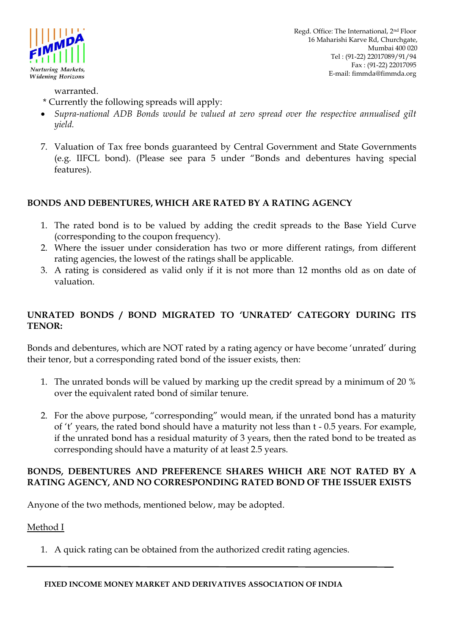

Regd. Office: The International, 2nd Floor 16 Maharishi Karve Rd, Churchgate, Mumbai 400 020 Tel : (91-22) 22017089/91/94 Fax : (91-22) 22017095 E-mail: fimmda@fimmda.org

warranted.

- \* Currently the following spreads will apply:
- *Supra-national ADB Bonds would be valued at zero spread over the respective annualised gilt yield.*
- 7. Valuation of Tax free bonds guaranteed by Central Government and State Governments (e.g. IIFCL bond). (Please see para 5 under "Bonds and debentures having special features).

# **BONDS AND DEBENTURES, WHICH ARE RATED BY A RATING AGENCY**

- 1. The rated bond is to be valued by adding the credit spreads to the Base Yield Curve (corresponding to the coupon frequency).
- 2. Where the issuer under consideration has two or more different ratings, from different rating agencies, the lowest of the ratings shall be applicable.
- 3. A rating is considered as valid only if it is not more than 12 months old as on date of valuation.

# **UNRATED BONDS / BOND MIGRATED TO 'UNRATED' CATEGORY DURING ITS TENOR:**

Bonds and debentures, which are NOT rated by a rating agency or have become "unrated" during their tenor, but a corresponding rated bond of the issuer exists, then:

- 1. The unrated bonds will be valued by marking up the credit spread by a minimum of 20 % over the equivalent rated bond of similar tenure.
- 2. For the above purpose, "corresponding" would mean, if the unrated bond has a maturity of "t" years, the rated bond should have a maturity not less than t - 0.5 years. For example, if the unrated bond has a residual maturity of 3 years, then the rated bond to be treated as corresponding should have a maturity of at least 2.5 years.

## **BONDS, DEBENTURES AND PREFERENCE SHARES WHICH ARE NOT RATED BY A RATING AGENCY, AND NO CORRESPONDING RATED BOND OF THE ISSUER EXISTS**

Anyone of the two methods, mentioned below, may be adopted.

Method I

1. A quick rating can be obtained from the authorized credit rating agencies.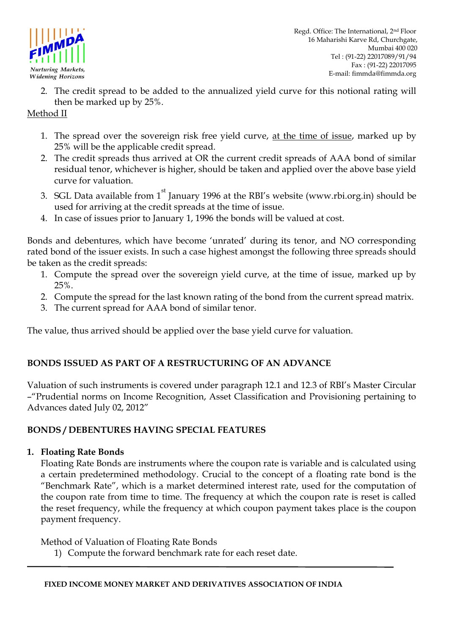

2. The credit spread to be added to the annualized yield curve for this notional rating will then be marked up by 25%.

# Method II

- 1. The spread over the sovereign risk free yield curve, at the time of issue, marked up by 25% will be the applicable credit spread.
- 2. The credit spreads thus arrived at OR the current credit spreads of AAA bond of similar residual tenor, whichever is higher, should be taken and applied over the above base yield curve for valuation.
- 3. SGL Data available from  $1<sup>st</sup>$  January 1996 at the RBI's website (www.rbi.org.in) should be used for arriving at the credit spreads at the time of issue.
- 4. In case of issues prior to January 1, 1996 the bonds will be valued at cost.

Bonds and debentures, which have become "unrated" during its tenor, and NO corresponding rated bond of the issuer exists. In such a case highest amongst the following three spreads should be taken as the credit spreads:

- 1. Compute the spread over the sovereign yield curve, at the time of issue, marked up by 25%.
- 2. Compute the spread for the last known rating of the bond from the current spread matrix.
- 3. The current spread for AAA bond of similar tenor.

The value, thus arrived should be applied over the base yield curve for valuation.

# **BONDS ISSUED AS PART OF A RESTRUCTURING OF AN ADVANCE**

Valuation of such instruments is covered under paragraph 12.1 and 12.3 of RBI"s Master Circular –"Prudential norms on Income Recognition, Asset Classification and Provisioning pertaining to Advances dated July 02, 2012"

## **BONDS / DEBENTURES HAVING SPECIAL FEATURES**

## **1. Floating Rate Bonds**

Floating Rate Bonds are instruments where the coupon rate is variable and is calculated using a certain predetermined methodology. Crucial to the concept of a floating rate bond is the "Benchmark Rate", which is a market determined interest rate, used for the computation of the coupon rate from time to time. The frequency at which the coupon rate is reset is called the reset frequency, while the frequency at which coupon payment takes place is the coupon payment frequency.

Method of Valuation of Floating Rate Bonds

1) Compute the forward benchmark rate for each reset date.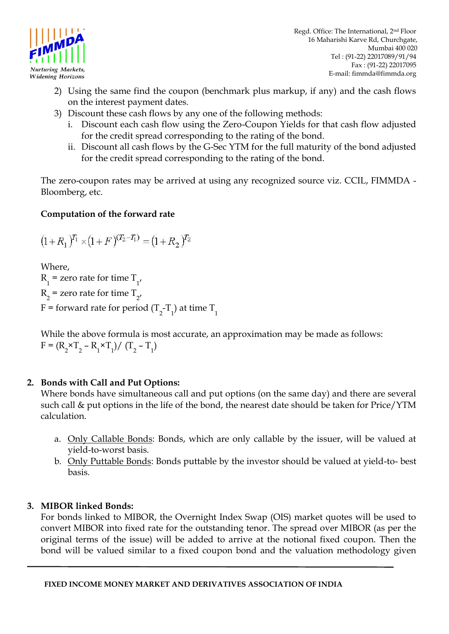

Regd. Office: The International, 2nd Floor 16 Maharishi Karve Rd, Churchgate, Mumbai 400 020 Tel : (91-22) 22017089/91/94 Fax : (91-22) 22017095 E-mail: fimmda@fimmda.org

- 2) Using the same find the coupon (benchmark plus markup, if any) and the cash flows on the interest payment dates.
- 3) Discount these cash flows by any one of the following methods:
	- i. Discount each cash flow using the Zero-Coupon Yields for that cash flow adjusted for the credit spread corresponding to the rating of the bond.
	- ii. Discount all cash flows by the G-Sec YTM for the full maturity of the bond adjusted for the credit spread corresponding to the rating of the bond.

The zero-coupon rates may be arrived at using any recognized source viz. CCIL, FIMMDA - Bloomberg, etc.

# **Computation of the forward rate**

$$
(1+R_1)^{T_1} \times (1+F)^{(T_2-T_1)} = (1+R_2)^{T_2}
$$

Where,  $R_1$  = zero rate for time  $T_{1'}$  $R_2$  = zero rate for time  $T_{2'}$ F = forward rate for period (T<sub>2</sub>-T<sub>1</sub>) at time T<sub>1</sub>

While the above formula is most accurate, an approximation may be made as follows:  $F = (R_2 \times T_2 - R_1 \times T_1) / (T_2 - T_1)$ 

# **2. Bonds with Call and Put Options:**

Where bonds have simultaneous call and put options (on the same day) and there are several such call & put options in the life of the bond, the nearest date should be taken for Price/YTM calculation.

- a. Only Callable Bonds: Bonds, which are only callable by the issuer, will be valued at yield-to-worst basis.
- b. Only Puttable Bonds: Bonds puttable by the investor should be valued at yield-to- best basis.

# **3. MIBOR linked Bonds:**

For bonds linked to MIBOR, the Overnight Index Swap (OIS) market quotes will be used to convert MIBOR into fixed rate for the outstanding tenor. The spread over MIBOR (as per the original terms of the issue) will be added to arrive at the notional fixed coupon. Then the bond will be valued similar to a fixed coupon bond and the valuation methodology given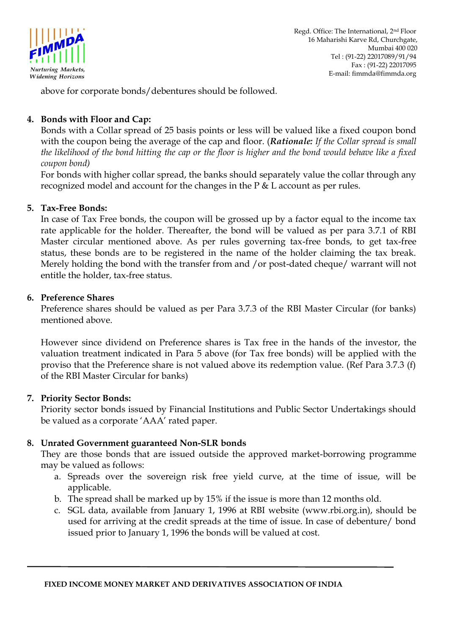

above for corporate bonds/debentures should be followed*.* 

## **4. Bonds with Floor and Cap:**

Bonds with a Collar spread of 25 basis points or less will be valued like a fixed coupon bond with the coupon being the average of the cap and floor. (*Rationale: If the Collar spread is small the likelihood of the bond hitting the cap or the floor is higher and the bond would behave like a fixed coupon bond)* 

For bonds with higher collar spread, the banks should separately value the collar through any recognized model and account for the changes in the P & L account as per rules.

### **5. Tax-Free Bonds:**

In case of Tax Free bonds, the coupon will be grossed up by a factor equal to the income tax rate applicable for the holder. Thereafter, the bond will be valued as per para 3.7.1 of RBI Master circular mentioned above. As per rules governing tax-free bonds, to get tax-free status, these bonds are to be registered in the name of the holder claiming the tax break. Merely holding the bond with the transfer from and /or post-dated cheque/ warrant will not entitle the holder, tax-free status.

### **6. Preference Shares**

Preference shares should be valued as per Para 3.7.3 of the RBI Master Circular (for banks) mentioned above.

However since dividend on Preference shares is Tax free in the hands of the investor, the valuation treatment indicated in Para 5 above (for Tax free bonds) will be applied with the proviso that the Preference share is not valued above its redemption value. (Ref Para 3.7.3 (f) of the RBI Master Circular for banks)

## **7. Priority Sector Bonds:**

Priority sector bonds issued by Financial Institutions and Public Sector Undertakings should be valued as a corporate "AAA" rated paper.

## **8. Unrated Government guaranteed Non-SLR bonds**

They are those bonds that are issued outside the approved market-borrowing programme may be valued as follows:

- a. Spreads over the sovereign risk free yield curve, at the time of issue, will be applicable.
- b. The spread shall be marked up by 15% if the issue is more than 12 months old.
- c. SGL data, available from January 1, 1996 at RBI website (www.rbi.org.in), should be used for arriving at the credit spreads at the time of issue. In case of debenture/ bond issued prior to January 1, 1996 the bonds will be valued at cost.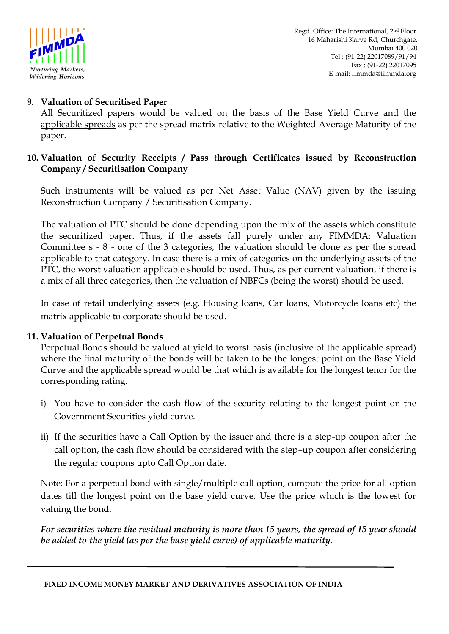

# **9. Valuation of Securitised Paper**

All Securitized papers would be valued on the basis of the Base Yield Curve and the applicable spreads as per the spread matrix relative to the Weighted Average Maturity of the paper.

## **10. Valuation of Security Receipts / Pass through Certificates issued by Reconstruction Company / Securitisation Company**

Such instruments will be valued as per Net Asset Value (NAV) given by the issuing Reconstruction Company / Securitisation Company.

The valuation of PTC should be done depending upon the mix of the assets which constitute the securitized paper. Thus, if the assets fall purely under any FIMMDA: Valuation Committee s - 8 - one of the 3 categories, the valuation should be done as per the spread applicable to that category. In case there is a mix of categories on the underlying assets of the PTC, the worst valuation applicable should be used. Thus, as per current valuation, if there is a mix of all three categories, then the valuation of NBFCs (being the worst) should be used.

In case of retail underlying assets (e.g. Housing loans, Car loans, Motorcycle loans etc) the matrix applicable to corporate should be used.

## **11. Valuation of Perpetual Bonds**

Perpetual Bonds should be valued at yield to worst basis (inclusive of the applicable spread) where the final maturity of the bonds will be taken to be the longest point on the Base Yield Curve and the applicable spread would be that which is available for the longest tenor for the corresponding rating.

- i) You have to consider the cash flow of the security relating to the longest point on the Government Securities yield curve.
- ii) If the securities have a Call Option by the issuer and there is a step-up coupon after the call option, the cash flow should be considered with the step–up coupon after considering the regular coupons upto Call Option date.

Note: For a perpetual bond with single/multiple call option, compute the price for all option dates till the longest point on the base yield curve. Use the price which is the lowest for valuing the bond.

*For securities where the residual maturity is more than 15 years, the spread of 15 year should be added to the yield (as per the base yield curve) of applicable maturity.*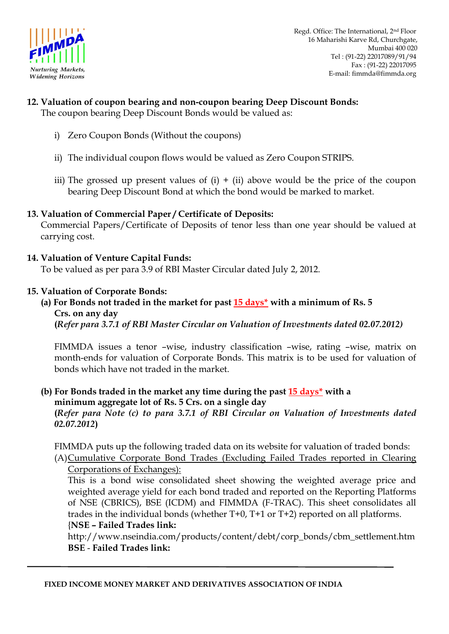

### **12. Valuation of coupon bearing and non-coupon bearing Deep Discount Bonds:**  The coupon bearing Deep Discount Bonds would be valued as:

- i) Zero Coupon Bonds (Without the coupons)
- ii) The individual coupon flows would be valued as Zero Coupon STRIPS.
- iii) The grossed up present values of  $(i) + (ii)$  above would be the price of the coupon bearing Deep Discount Bond at which the bond would be marked to market.

### **13. Valuation of Commercial Paper / Certificate of Deposits:**

Commercial Papers/Certificate of Deposits of tenor less than one year should be valued at carrying cost.

### **14. Valuation of Venture Capital Funds:**

To be valued as per para 3.9 of RBI Master Circular dated July 2, 2012.

#### **15. Valuation of Corporate Bonds:**

# **(a) For Bonds not traded in the market for past 15 days\* with a minimum of Rs. 5 Crs. on any day**

**(***Refer para 3.7.1 of RBI Master Circular on Valuation of Investments dated 02.07.2012)*

FIMMDA issues a tenor –wise, industry classification –wise, rating –wise, matrix on month-ends for valuation of Corporate Bonds. This matrix is to be used for valuation of bonds which have not traded in the market.

#### **(b) For Bonds traded in the market any time during the past 15 days\* with a minimum aggregate lot of Rs. 5 Crs. on a single day (***Refer para Note (c) to para 3.7.1 of RBI Circular on Valuation of Investments dated 02.07.2012***)**

FIMMDA puts up the following traded data on its website for valuation of traded bonds: (A)Cumulative Corporate Bond Trades (Excluding Failed Trades reported in Clearing

### Corporations of Exchanges):

This is a bond wise consolidated sheet showing the weighted average price and weighted average yield for each bond traded and reported on the Reporting Platforms of NSE (CBRICS), BSE (ICDM) and FIMMDA (F-TRAC). This sheet consolidates all trades in the individual bonds (whether T+0, T+1 or T+2) reported on all platforms. {**NSE – Failed Trades link:**

http://www.nseindia.com/products/content/debt/corp\_bonds/cbm\_settlement.htm **BSE** - **Failed Trades link:**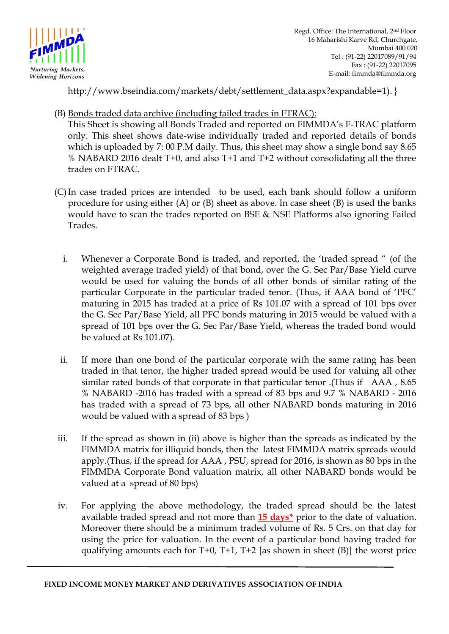

Regd. Office: The International, 2nd Floor 16 Maharishi Karve Rd, Churchgate, Mumbai 400 020 Tel : (91-22) 22017089/91/94 Fax : (91-22) 22017095 E-mail: fimmda@fimmda.org

http://www.bseindia.com/markets/debt/settlement\_data.aspx?expandable=1). }

(B) Bonds traded data archive (including failed trades in FTRAC):

This Sheet is showing all Bonds Traded and reported on FIMMDA"s F-TRAC platform only. This sheet shows date-wise individually traded and reported details of bonds which is uploaded by 7: 00 P.M daily. Thus, this sheet may show a single bond say 8.65 % NABARD 2016 dealt T+0, and also T+1 and T+2 without consolidating all the three trades on FTRAC.

- (C)In case traded prices are intended to be used, each bank should follow a uniform procedure for using either (A) or (B) sheet as above. In case sheet (B) is used the banks would have to scan the trades reported on BSE & NSE Platforms also ignoring Failed Trades.
	- i. Whenever a Corporate Bond is traded, and reported, the "traded spread " (of the weighted average traded yield) of that bond, over the G. Sec Par/Base Yield curve would be used for valuing the bonds of all other bonds of similar rating of the particular Corporate in the particular traded tenor. (Thus, if AAA bond of "PFC" maturing in 2015 has traded at a price of Rs 101.07 with a spread of 101 bps over the G. Sec Par/Base Yield, all PFC bonds maturing in 2015 would be valued with a spread of 101 bps over the G. Sec Par/Base Yield, whereas the traded bond would be valued at Rs 101.07).
	- ii. If more than one bond of the particular corporate with the same rating has been traded in that tenor, the higher traded spread would be used for valuing all other similar rated bonds of that corporate in that particular tenor .(Thus if AAA , 8.65 % NABARD -2016 has traded with a spread of 83 bps and 9.7 % NABARD - 2016 has traded with a spread of 73 bps, all other NABARD bonds maturing in 2016 would be valued with a spread of 83 bps )
- iii. If the spread as shown in (ii) above is higher than the spreads as indicated by the FIMMDA matrix for illiquid bonds, then the latest FIMMDA matrix spreads would apply.(Thus, if the spread for AAA , PSU, spread for 2016, is shown as 80 bps in the FIMMDA Corporate Bond valuation matrix, all other NABARD bonds would be valued at a spread of 80 bps)
- iv. For applying the above methodology, the traded spread should be the latest available traded spread and not more than **15 days\*** prior to the date of valuation. Moreover there should be a minimum traded volume of Rs. 5 Crs. on that day for using the price for valuation. In the event of a particular bond having traded for qualifying amounts each for T+0, T+1, T+2 [as shown in sheet (B)] the worst price